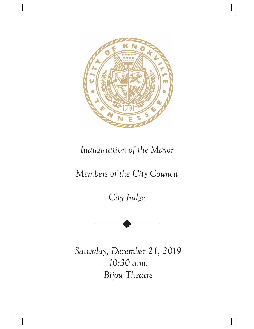

## *Inauguration of the Mayor*

## *Members of the City Council*

*City Judge*



*Saturday, December 21, 2019 10:30 a.m. Bijou Theatre*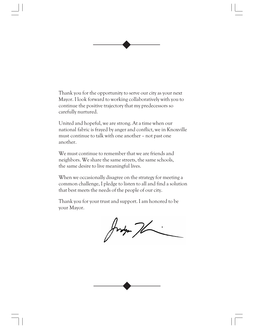Thank you for the opportunity to serve our city as your next Mayor. I look forward to working collaboratively with you to continue the positive trajectory that my predecessors so carefully nurtured.

United and hopeful, we are strong. At a time when our national fabric is frayed by anger and conflict, we in Knoxville must continue to talk with one another – not past one another.

We must continue to remember that we are friends and neighbors. We share the same streets, the same schools, the same desire to live meaningful lives.

When we occasionally disagree on the strategy for meeting a common challenge, I pledge to listen to all and find a solution that best meets the needs of the people of our city.

Thank you for your trust and support. I am honored to be your Mayor.

Judy 76

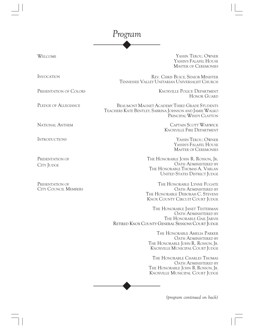## *Program*

WELCOME YASSIN T<sup>E</sup>ROU, OWNER YASSIN'S FALAFEL HOUSE MASTER OF CEREMONIES

PRESENTATION OF COLORS

PLEDGE OF ALLEGIANCE

NATIONAL ANTHEM

INTRODUCTION<sup>S</sup>

PRESENTATION OF CITY JUDGE

PRESENTATION OF CITY COUNCIL MEMBERS

INVOCATION REV. CHRIS BUICE, SENIOR MINISTER TENNESSEE VALLEY UNITARIAN UNIVERSALIST CHURCH

> KNOXVILLE POLICE DEPARTMENT HONOR GUARD

BEAUMONT MAGNET ACADEMY THIRD GRADE STUDENTS TEACHERS KATE BENTLEY, SABRINA JOHNSON AND JAMIE WALKO PRINCIPAL WINDY CLAYTON

> CAPTAIN SCOTT WARWICK KNOXVILLE FIRE DEPARTMENT

> > YASSIN TEROU, OWNER YASSIN'S FALAFEL HOUSE MASTER OF CEREMONIES

THE HONORABLE JOHN R. ROSSON, JR. OATH ADMINISTERED BY THE HONORABLE THOMAS A. VARLAN UNITED STATES DISTRICT JUDGE

THE HONORABLE LYNNE FUGATE OATH ADMINISTERED BY THE HONORABLE DEBORAH C. STEVENS KNOX COUNTY CIRCUIT COURT JUDGE

THE HONORABLE JANET TESTERMAN OATH ADMINISTERED BY THE HONORABLE GAIL JARVIS RETIRED KNOX COUNTY GENERAL SESSIONS COURT JUDGE

> THE HONORABLE AMELIA P<sup>A</sup>RKER OATH ADMINISTERED BY THE HONORABLE JOHN R. ROSSON, JR. KNOXVILLE MUNICIPAL COURT JUDGE

> THE HONORABLE CHARLES THOMAS OATH ADMINISTERED BY THE HONORABLE JOHN R. ROSSON, JR. KNOXVILLE MUNICIPAL COURT JUDGE

> > *(program continued on back)*